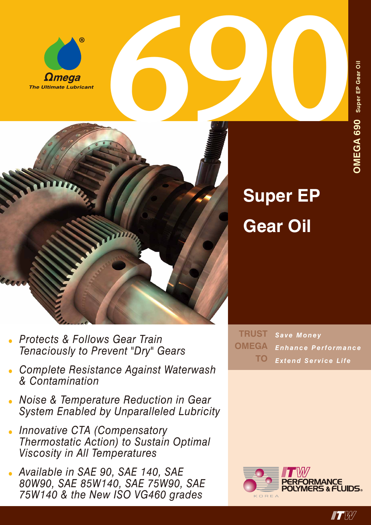



## **Super EP Gear Oil**

- *• Protects & Follows Gear Train Tenaciously to Prevent "Dry" Gears*
- *• Complete Resistance Against Waterwash & Contamination*
- *• Noise & Temperature Reduction in Gear System Enabled by Unparalleled Lubricity*
- *• Innovative CTA (Compensatory Thermostatic Action) to Sustain Optimal Viscosity in All Temperatures*
- *• Available in SAE 90, SAE 140, SAE 80W90, SAE 85W140, SAE 75W90, SAE 75W140 & the New ISO VG460 grades*

*Save Money Enhance Performance Extend Service Life* **TRUST OMEGA TO**